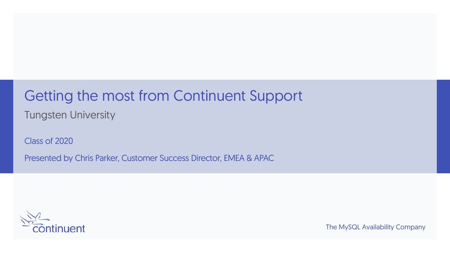# Getting the most from Continuent Support

Tungsten University

Class of 2020

Presented by Chris Parker, Customer Success Director, EMEA & APAC



The MySQL Availability Company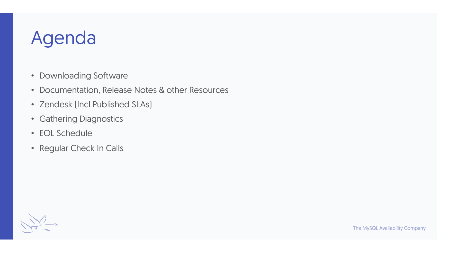### Agenda

- Downloading Software
- Documentation, Release Notes & other Resources
- Zendesk (Incl Published SLAs)
- Gathering Diagnostics
- EOL Schedule
- Regular Check In Calls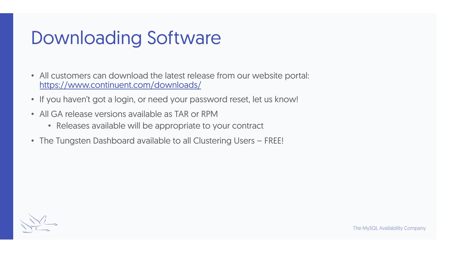## Downloading Software

- All customers can download the latest release from our website portal: https://www.continuent.com/downloads/
- If you haven't got a login, or need your password reset, let us know!
- All GA release versions available as TAR or RPM
	- Releases available will be appropriate to your contract
- The Tungsten Dashboard available to all Clustering Users FREE!

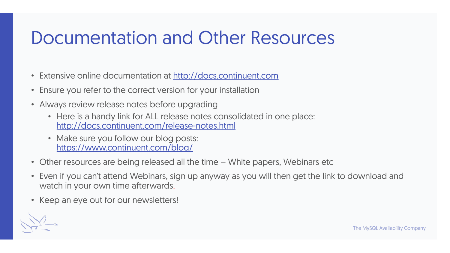## Documentation and Other Resources

- Extensive online documentation at http://docs.continuent.com
- Ensure you refer to the correct version for your installation
- Always review release notes before upgrading
	- Here is a handy link for ALL release notes consolidated in one place: http://docs.continuent.com/release-notes.html
	- Make sure you follow our blog posts: https://www.continuent.com/blog/
- Other resources are being released all the time White papers, Webinars etc
- Even if you can't attend Webinars, sign up anyway as you will then get the link to downloa watch in your own time afterwards.
- Keep an eye out for our newsletters!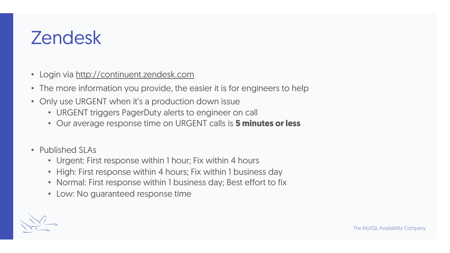## Zendesk

- Login via http://continuent.zendesk.com
- The more information you provide, the easier it is for engineers to help
- Only use URGENT when it's a production down issue
	- URGENT triggers PagerDuty alerts to engineer on call
	- Our average response time on URGENT calls is **5 minutes or less**
- Published SLAs
	- Urgent: First response within 1 hour; Fix within 4 hours
	- High: First response within 4 hours; Fix within 1 business day
	- Normal: First response within 1 business day; Best effort to fix
	- Low: No guaranteed response time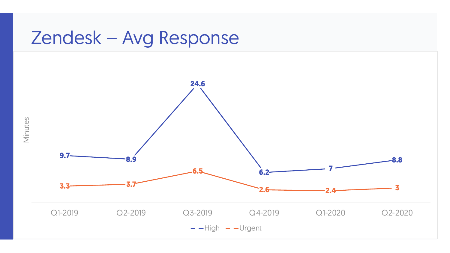#### Zendesk – Avg Response



Minutes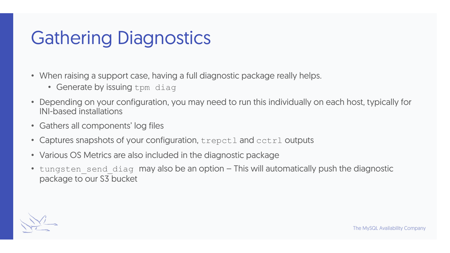### Gathering Diagnostics

- When raising a support case, having a full diagnostic package really helps.
	- Generate by issuing tpm diag
- Depending on your configuration, you may need to run this individually on each host, typically for INI-based installations
- Gathers all components' log files
- Captures snapshots of your configuration, trepctl and cctrl outputs
- Various OS Metrics are also included in the diagnostic package
- tungsten send diag may also be an option This will automatically push the diagnostic package to our S3 bucket

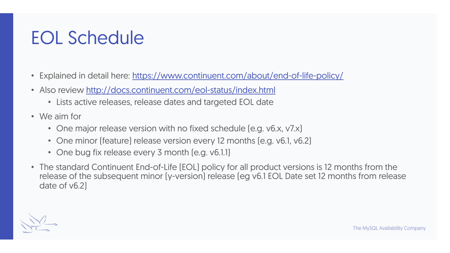## EOL Schedule

- Explained in detail here: https://www.continuent.com/about/end-of-life-policy/
- Also review http://docs.continuent.com/eol-status/index.html
	- Lists active releases, release dates and targeted EOL date
- We aim for
	- One major release version with no fixed schedule (e.g. v6.x, v7.x)
	- One minor (feature) release version every 12 months (e.g. v6.1, v6.2)
	- One bug fix release every 3 month [e.g. v6.1.1]
- The standard Continuent End-of-Life (EOL) policy for all product versions is 12 months from release of the subsequent minor (y-version) release (eg v6.1 EOL Date set 12 months from re date of v6.2)

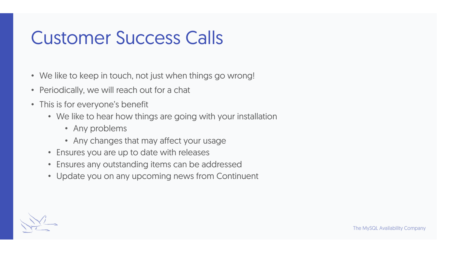#### Customer Success Calls

- We like to keep in touch, not just when things go wrong!
- Periodically, we will reach out for a chat
- This is for everyone's benefit
	- We like to hear how things are going with your installation
		- Any problems
		- Any changes that may affect your usage
	- Ensures you are up to date with releases
	- Ensures any outstanding items can be addressed
	- Update you on any upcoming news from Continuent

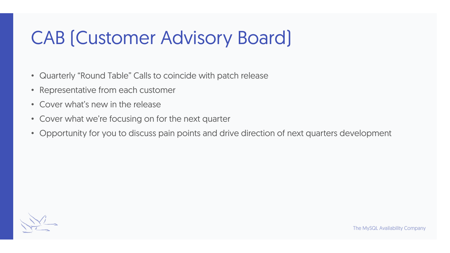## CAB (Customer Advisory Board)

- Quarterly "Round Table" Calls to coincide with patch release
- Representative from each customer
- Cover what's new in the release
- Cover what we're focusing on for the next quarter
- Opportunity for you to discuss pain points and drive direction of next quarters development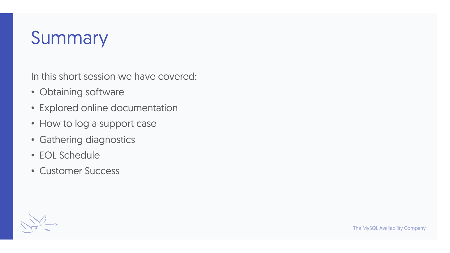### Summary

In this short session we have covered:

- Obtaining software
- Explored online documentation
- How to log a support case
- Gathering diagnostics
- EOL Schedule
- Customer Success

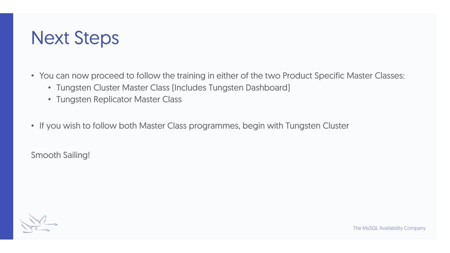#### Next Steps

- You can now proceed to follow the training in either of the two Product Specific Master Classes:
	- Tungsten Cluster Master Class (Includes Tungsten Dashboard)
	- Tungsten Replicator Master Class
- If you wish to follow both Master Class programmes, begin with Tungsten Cluster

Smooth Sailing!